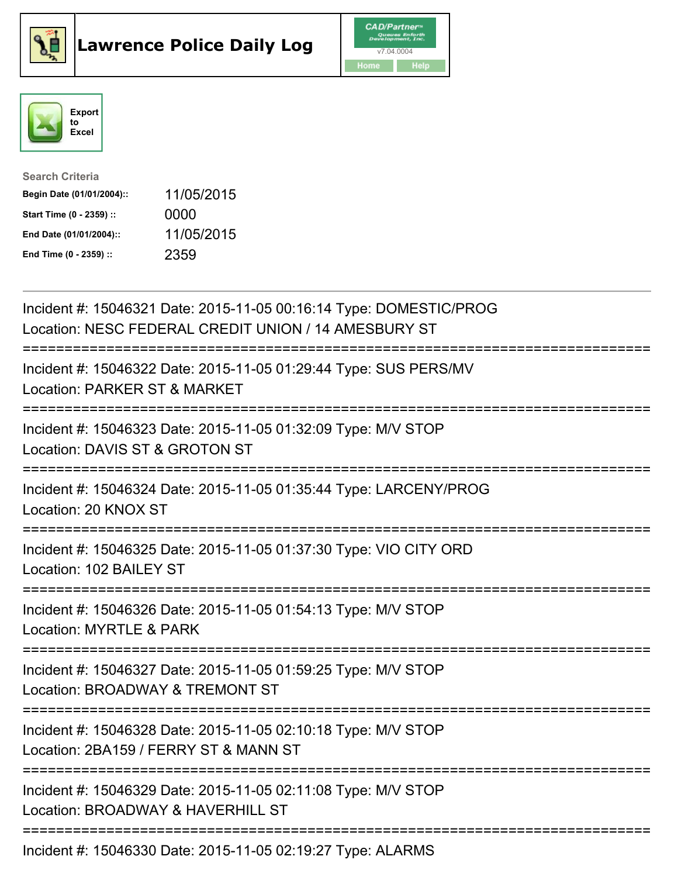





| <b>Search Criteria</b>    |            |
|---------------------------|------------|
| Begin Date (01/01/2004):: | 11/05/2015 |
| Start Time (0 - 2359) ::  | 0000       |
| End Date (01/01/2004)::   | 11/05/2015 |
| End Time (0 - 2359) ::    | 2359       |

| Incident #: 15046321 Date: 2015-11-05 00:16:14 Type: DOMESTIC/PROG<br>Location: NESC FEDERAL CREDIT UNION / 14 AMESBURY ST       |
|----------------------------------------------------------------------------------------------------------------------------------|
| Incident #: 15046322 Date: 2015-11-05 01:29:44 Type: SUS PERS/MV<br>Location: PARKER ST & MARKET                                 |
| Incident #: 15046323 Date: 2015-11-05 01:32:09 Type: M/V STOP<br>Location: DAVIS ST & GROTON ST                                  |
| Incident #: 15046324 Date: 2015-11-05 01:35:44 Type: LARCENY/PROG<br>Location: 20 KNOX ST<br>---------------------               |
| Incident #: 15046325 Date: 2015-11-05 01:37:30 Type: VIO CITY ORD<br>Location: 102 BAILEY ST                                     |
| Incident #: 15046326 Date: 2015-11-05 01:54:13 Type: M/V STOP<br>Location: MYRTLE & PARK                                         |
| Incident #: 15046327 Date: 2015-11-05 01:59:25 Type: M/V STOP<br>Location: BROADWAY & TREMONT ST<br>===========================  |
| Incident #: 15046328 Date: 2015-11-05 02:10:18 Type: M/V STOP<br>Location: 2BA159 / FERRY ST & MANN ST                           |
| Incident #: 15046329 Date: 2015-11-05 02:11:08 Type: M/V STOP<br>Location: BROADWAY & HAVERHILL ST<br>-------------------------- |
| Incident #: 15046330 Date: 2015-11-05 02:19:27 Type: ALARMS                                                                      |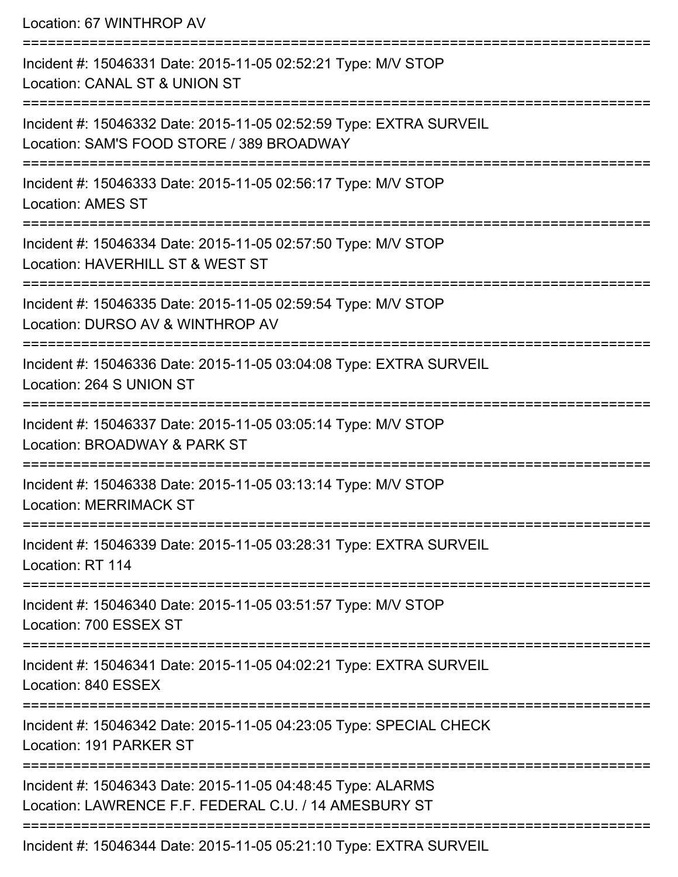Location: 67 WINTHROP AV

=========================================================================== Incident #: 15046331 Date: 2015-11-05 02:52:21 Type: M/V STOP Location: CANAL ST & UNION ST =========================================================================== Incident #: 15046332 Date: 2015-11-05 02:52:59 Type: EXTRA SURVEIL Location: SAM'S FOOD STORE / 389 BROADWAY =========================================================================== Incident #: 15046333 Date: 2015-11-05 02:56:17 Type: M/V STOP Location: AMES ST =========================================================================== Incident #: 15046334 Date: 2015-11-05 02:57:50 Type: M/V STOP Location: HAVERHILL ST & WEST ST =========================================================================== Incident #: 15046335 Date: 2015-11-05 02:59:54 Type: M/V STOP Location: DURSO AV & WINTHROP AV =========================================================================== Incident #: 15046336 Date: 2015-11-05 03:04:08 Type: EXTRA SURVEIL Location: 264 S UNION ST =========================================================================== Incident #: 15046337 Date: 2015-11-05 03:05:14 Type: M/V STOP Location: BROADWAY & PARK ST =========================================================================== Incident #: 15046338 Date: 2015-11-05 03:13:14 Type: M/V STOP Location: MERRIMACK ST =========================================================================== Incident #: 15046339 Date: 2015-11-05 03:28:31 Type: EXTRA SURVEIL Location: RT 114 =========================================================================== Incident #: 15046340 Date: 2015-11-05 03:51:57 Type: M/V STOP Location: 700 ESSEX ST =========================================================================== Incident #: 15046341 Date: 2015-11-05 04:02:21 Type: EXTRA SURVEIL Location: 840 ESSEX =========================================================================== Incident #: 15046342 Date: 2015-11-05 04:23:05 Type: SPECIAL CHECK Location: 191 PARKER ST =========================================================================== Incident #: 15046343 Date: 2015-11-05 04:48:45 Type: ALARMS Location: LAWRENCE F.F. FEDERAL C.U. / 14 AMESBURY ST =========================================================================== Incident #: 15046344 Date: 2015-11-05 05:21:10 Type: EXTRA SURVEIL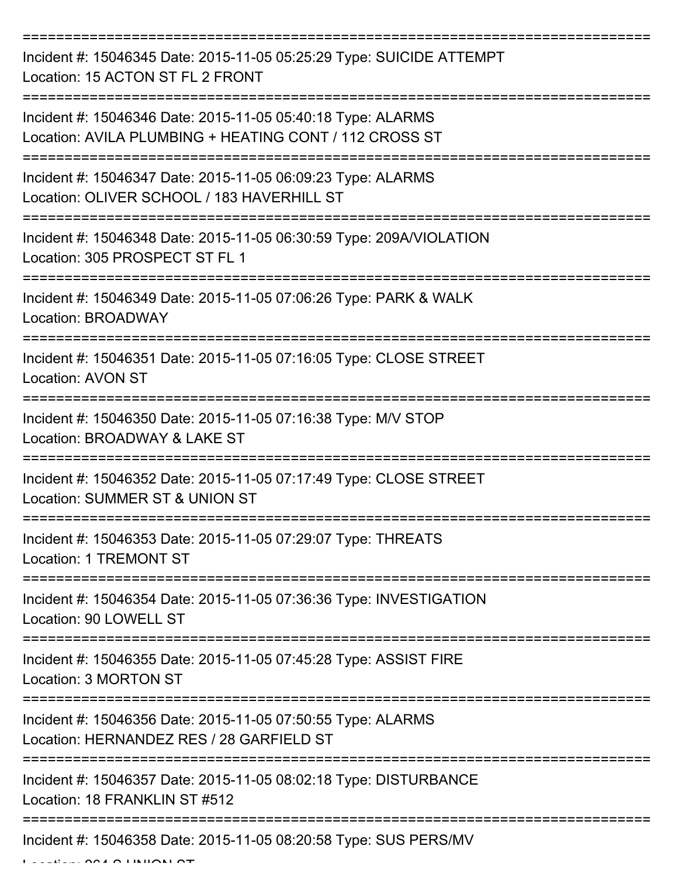=================================== Incident #: 15046345 Date: 2015-11-05 05:25:29 Type: SUICIDE ATTEMPT Location: 15 ACTON ST FL 2 FRONT =========================================================================== Incident #: 15046346 Date: 2015-11-05 05:40:18 Type: ALARMS Location: AVILA PLUMBING + HEATING CONT / 112 CROSS ST =========================================================================== Incident #: 15046347 Date: 2015-11-05 06:09:23 Type: ALARMS Location: OLIVER SCHOOL / 183 HAVERHILL ST =========================================================================== Incident #: 15046348 Date: 2015-11-05 06:30:59 Type: 209A/VIOLATION Location: 305 PROSPECT ST FL 1 =========================================================================== Incident #: 15046349 Date: 2015-11-05 07:06:26 Type: PARK & WALK Location: BROADWAY =========================================================================== Incident #: 15046351 Date: 2015-11-05 07:16:05 Type: CLOSE STREET Location: AVON ST =========================================================================== Incident #: 15046350 Date: 2015-11-05 07:16:38 Type: M/V STOP Location: BROADWAY & LAKE ST =========================================================================== Incident #: 15046352 Date: 2015-11-05 07:17:49 Type: CLOSE STREET Location: SUMMER ST & UNION ST =========================================================================== Incident #: 15046353 Date: 2015-11-05 07:29:07 Type: THREATS Location: 1 TREMONT ST =========================================================================== Incident #: 15046354 Date: 2015-11-05 07:36:36 Type: INVESTIGATION Location: 90 LOWELL ST =========================================================================== Incident #: 15046355 Date: 2015-11-05 07:45:28 Type: ASSIST FIRE Location: 3 MORTON ST =========================================================================== Incident #: 15046356 Date: 2015-11-05 07:50:55 Type: ALARMS Location: HERNANDEZ RES / 28 GAREIELD ST =========================================================================== Incident #: 15046357 Date: 2015-11-05 08:02:18 Type: DISTURBANCE Location: 18 FRANKLIN ST #512 =========================================================================== Incident #: 15046358 Date: 2015-11-05 08:20:58 Type: SUS PERS/MV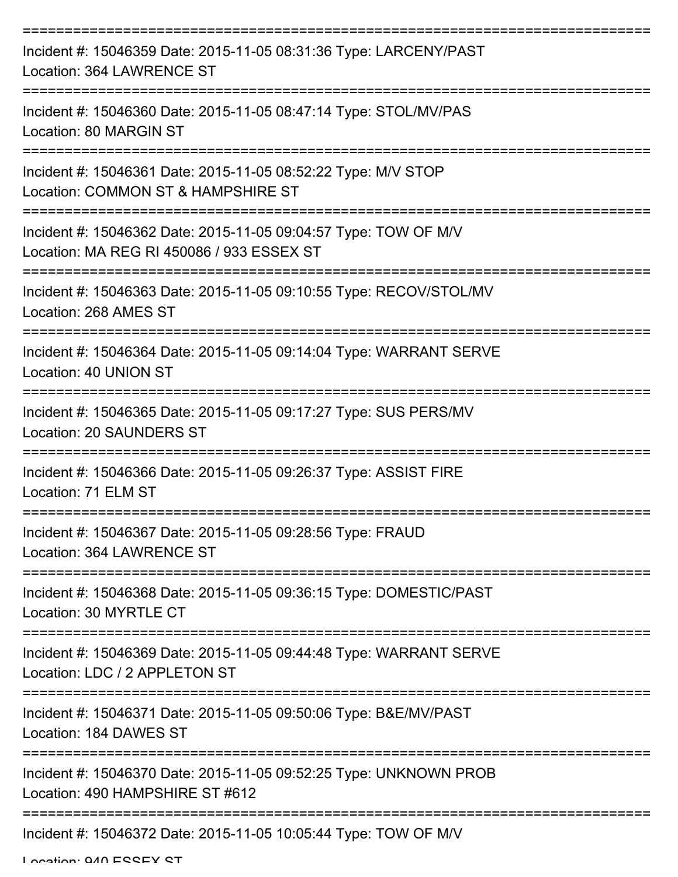| Incident #: 15046359 Date: 2015-11-05 08:31:36 Type: LARCENY/PAST<br>Location: 364 LAWRENCE ST               |
|--------------------------------------------------------------------------------------------------------------|
| Incident #: 15046360 Date: 2015-11-05 08:47:14 Type: STOL/MV/PAS<br>Location: 80 MARGIN ST                   |
| Incident #: 15046361 Date: 2015-11-05 08:52:22 Type: M/V STOP<br>Location: COMMON ST & HAMPSHIRE ST          |
| Incident #: 15046362 Date: 2015-11-05 09:04:57 Type: TOW OF M/V<br>Location: MA REG RI 450086 / 933 ESSEX ST |
| Incident #: 15046363 Date: 2015-11-05 09:10:55 Type: RECOV/STOL/MV<br>Location: 268 AMES ST                  |
| Incident #: 15046364 Date: 2015-11-05 09:14:04 Type: WARRANT SERVE<br>Location: 40 UNION ST                  |
| Incident #: 15046365 Date: 2015-11-05 09:17:27 Type: SUS PERS/MV<br><b>Location: 20 SAUNDERS ST</b>          |
| ===========<br>Incident #: 15046366 Date: 2015-11-05 09:26:37 Type: ASSIST FIRE<br>Location: 71 ELM ST       |
| Incident #: 15046367 Date: 2015-11-05 09:28:56 Type: FRAUD<br>Location: 364 LAWRENCE ST                      |
| Incident #: 15046368 Date: 2015-11-05 09:36:15 Type: DOMESTIC/PAST<br>Location: 30 MYRTLE CT                 |
| Incident #: 15046369 Date: 2015-11-05 09:44:48 Type: WARRANT SERVE<br>Location: LDC / 2 APPLETON ST          |
| Incident #: 15046371 Date: 2015-11-05 09:50:06 Type: B&E/MV/PAST<br>Location: 184 DAWES ST                   |
| Incident #: 15046370 Date: 2015-11-05 09:52:25 Type: UNKNOWN PROB<br>Location: 490 HAMPSHIRE ST #612         |
| Incident #: 15046372 Date: 2015-11-05 10:05:44 Type: TOW OF M/V                                              |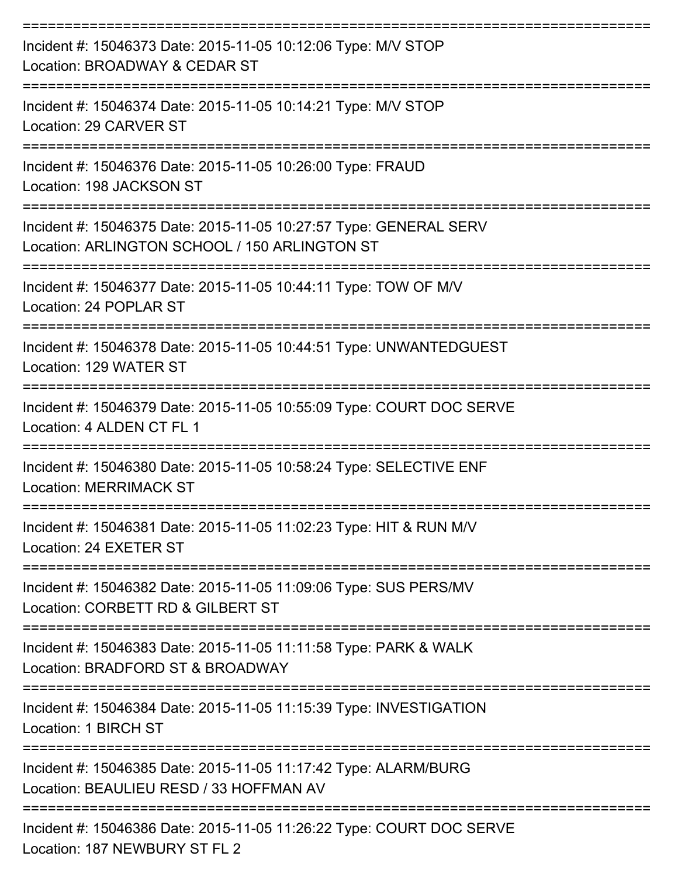| Incident #: 15046373 Date: 2015-11-05 10:12:06 Type: M/V STOP<br>Location: BROADWAY & CEDAR ST                     |
|--------------------------------------------------------------------------------------------------------------------|
| Incident #: 15046374 Date: 2015-11-05 10:14:21 Type: M/V STOP<br>Location: 29 CARVER ST                            |
| Incident #: 15046376 Date: 2015-11-05 10:26:00 Type: FRAUD<br>Location: 198 JACKSON ST                             |
| Incident #: 15046375 Date: 2015-11-05 10:27:57 Type: GENERAL SERV<br>Location: ARLINGTON SCHOOL / 150 ARLINGTON ST |
| Incident #: 15046377 Date: 2015-11-05 10:44:11 Type: TOW OF M/V<br>Location: 24 POPLAR ST                          |
| Incident #: 15046378 Date: 2015-11-05 10:44:51 Type: UNWANTEDGUEST<br>Location: 129 WATER ST                       |
| Incident #: 15046379 Date: 2015-11-05 10:55:09 Type: COURT DOC SERVE<br>Location: 4 ALDEN CT FL 1                  |
| Incident #: 15046380 Date: 2015-11-05 10:58:24 Type: SELECTIVE ENF<br><b>Location: MERRIMACK ST</b>                |
| Incident #: 15046381 Date: 2015-11-05 11:02:23 Type: HIT & RUN M/V<br>Location: 24 EXETER ST                       |
| Incident #: 15046382 Date: 2015-11-05 11:09:06 Type: SUS PERS/MV<br>Location: CORBETT RD & GILBERT ST              |
| Incident #: 15046383 Date: 2015-11-05 11:11:58 Type: PARK & WALK<br>Location: BRADFORD ST & BROADWAY               |
| Incident #: 15046384 Date: 2015-11-05 11:15:39 Type: INVESTIGATION<br>Location: 1 BIRCH ST                         |
| Incident #: 15046385 Date: 2015-11-05 11:17:42 Type: ALARM/BURG<br>Location: BEAULIEU RESD / 33 HOFFMAN AV         |
| Incident #: 15046386 Date: 2015-11-05 11:26:22 Type: COURT DOC SERVE<br>Location: 187 NEWBURY ST FL 2              |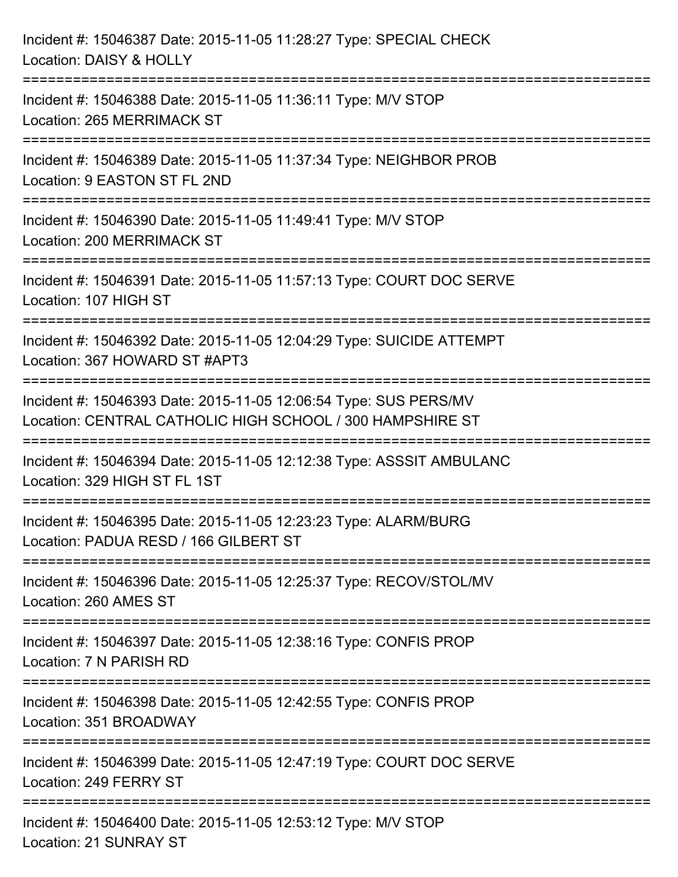| Incident #: 15046387 Date: 2015-11-05 11:28:27 Type: SPECIAL CHECK<br>Location: DAISY & HOLLY                                 |
|-------------------------------------------------------------------------------------------------------------------------------|
| Incident #: 15046388 Date: 2015-11-05 11:36:11 Type: M/V STOP<br>Location: 265 MERRIMACK ST                                   |
| Incident #: 15046389 Date: 2015-11-05 11:37:34 Type: NEIGHBOR PROB<br>Location: 9 EASTON ST FL 2ND                            |
| Incident #: 15046390 Date: 2015-11-05 11:49:41 Type: M/V STOP<br>Location: 200 MERRIMACK ST<br>--------------------           |
| Incident #: 15046391 Date: 2015-11-05 11:57:13 Type: COURT DOC SERVE<br>Location: 107 HIGH ST                                 |
| Incident #: 15046392 Date: 2015-11-05 12:04:29 Type: SUICIDE ATTEMPT<br>Location: 367 HOWARD ST #APT3                         |
| Incident #: 15046393 Date: 2015-11-05 12:06:54 Type: SUS PERS/MV<br>Location: CENTRAL CATHOLIC HIGH SCHOOL / 300 HAMPSHIRE ST |
| Incident #: 15046394 Date: 2015-11-05 12:12:38 Type: ASSSIT AMBULANC<br>Location: 329 HIGH ST FL 1ST                          |
| Incident #: 15046395 Date: 2015-11-05 12:23:23 Type: ALARM/BURG<br>Location: PADUA RESD / 166 GILBERT ST                      |
| Incident #: 15046396 Date: 2015-11-05 12:25:37 Type: RECOV/STOL/MV<br>Location: 260 AMES ST                                   |
| Incident #: 15046397 Date: 2015-11-05 12:38:16 Type: CONFIS PROP<br>Location: 7 N PARISH RD                                   |
| Incident #: 15046398 Date: 2015-11-05 12:42:55 Type: CONFIS PROP<br>Location: 351 BROADWAY                                    |
| Incident #: 15046399 Date: 2015-11-05 12:47:19 Type: COURT DOC SERVE<br>Location: 249 FERRY ST                                |
| Incident #: 15046400 Date: 2015-11-05 12:53:12 Type: M/V STOP<br><b>Location: 21 SUNRAY ST</b>                                |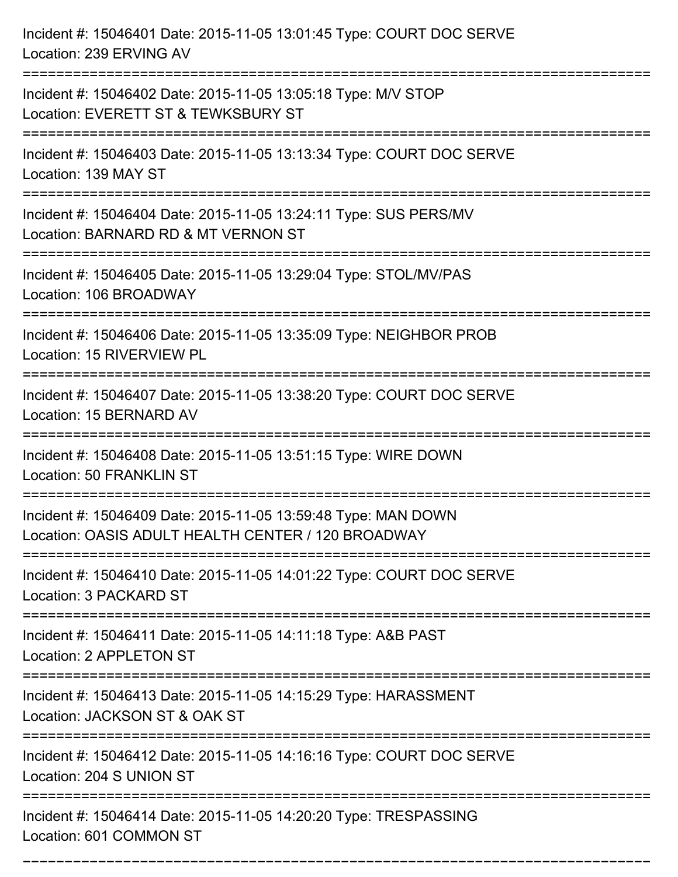| Incident #: 15046401 Date: 2015-11-05 13:01:45 Type: COURT DOC SERVE<br>Location: 239 ERVING AV                                      |
|--------------------------------------------------------------------------------------------------------------------------------------|
| Incident #: 15046402 Date: 2015-11-05 13:05:18 Type: M/V STOP<br>Location: EVERETT ST & TEWKSBURY ST                                 |
| Incident #: 15046403 Date: 2015-11-05 13:13:34 Type: COURT DOC SERVE<br>Location: 139 MAY ST                                         |
| Incident #: 15046404 Date: 2015-11-05 13:24:11 Type: SUS PERS/MV<br>Location: BARNARD RD & MT VERNON ST                              |
| Incident #: 15046405 Date: 2015-11-05 13:29:04 Type: STOL/MV/PAS<br>Location: 106 BROADWAY                                           |
| Incident #: 15046406 Date: 2015-11-05 13:35:09 Type: NEIGHBOR PROB<br>Location: 15 RIVERVIEW PL                                      |
| Incident #: 15046407 Date: 2015-11-05 13:38:20 Type: COURT DOC SERVE<br>Location: 15 BERNARD AV                                      |
| Incident #: 15046408 Date: 2015-11-05 13:51:15 Type: WIRE DOWN<br>Location: 50 FRANKLIN ST                                           |
| Incident #: 15046409 Date: 2015-11-05 13:59:48 Type: MAN DOWN<br>Location: OASIS ADULT HEALTH CENTER / 120 BROADWAY                  |
| Incident #: 15046410 Date: 2015-11-05 14:01:22 Type: COURT DOC SERVE<br>Location: 3 PACKARD ST<br>================================== |
| Incident #: 15046411 Date: 2015-11-05 14:11:18 Type: A&B PAST<br>Location: 2 APPLETON ST                                             |
| Incident #: 15046413 Date: 2015-11-05 14:15:29 Type: HARASSMENT<br>Location: JACKSON ST & OAK ST                                     |
| Incident #: 15046412 Date: 2015-11-05 14:16:16 Type: COURT DOC SERVE<br>Location: 204 S UNION ST                                     |
| Incident #: 15046414 Date: 2015-11-05 14:20:20 Type: TRESPASSING<br>Location: 601 COMMON ST                                          |

===========================================================================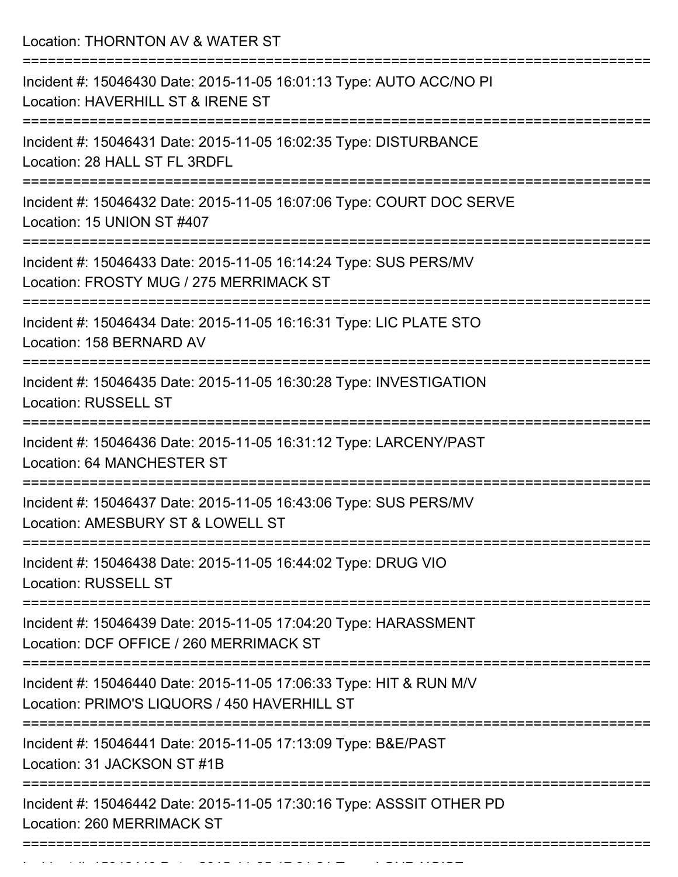Location: THORNTON AV & WATER ST

| Incident #: 15046430 Date: 2015-11-05 16:01:13 Type: AUTO ACC/NO PI<br>Location: HAVERHILL ST & IRENE ST                |
|-------------------------------------------------------------------------------------------------------------------------|
| Incident #: 15046431 Date: 2015-11-05 16:02:35 Type: DISTURBANCE<br>Location: 28 HALL ST FL 3RDFL<br>==============     |
| Incident #: 15046432 Date: 2015-11-05 16:07:06 Type: COURT DOC SERVE<br>Location: 15 UNION ST #407                      |
| Incident #: 15046433 Date: 2015-11-05 16:14:24 Type: SUS PERS/MV<br>Location: FROSTY MUG / 275 MERRIMACK ST             |
| Incident #: 15046434 Date: 2015-11-05 16:16:31 Type: LIC PLATE STO<br>Location: 158 BERNARD AV                          |
| Incident #: 15046435 Date: 2015-11-05 16:30:28 Type: INVESTIGATION<br><b>Location: RUSSELL ST</b>                       |
| Incident #: 15046436 Date: 2015-11-05 16:31:12 Type: LARCENY/PAST<br><b>Location: 64 MANCHESTER ST</b>                  |
| Incident #: 15046437 Date: 2015-11-05 16:43:06 Type: SUS PERS/MV<br>Location: AMESBURY ST & LOWELL ST<br>-------------- |
| Incident #: 15046438 Date: 2015-11-05 16:44:02 Type: DRUG VIO<br><b>Location: RUSSELL ST</b>                            |
| Incident #: 15046439 Date: 2015-11-05 17:04:20 Type: HARASSMENT<br>Location: DCF OFFICE / 260 MERRIMACK ST              |
| Incident #: 15046440 Date: 2015-11-05 17:06:33 Type: HIT & RUN M/V<br>Location: PRIMO'S LIQUORS / 450 HAVERHILL ST      |
| Incident #: 15046441 Date: 2015-11-05 17:13:09 Type: B&E/PAST<br>Location: 31 JACKSON ST #1B                            |
| Incident #: 15046442 Date: 2015-11-05 17:30:16 Type: ASSSIT OTHER PD<br>Location: 260 MERRIMACK ST                      |
|                                                                                                                         |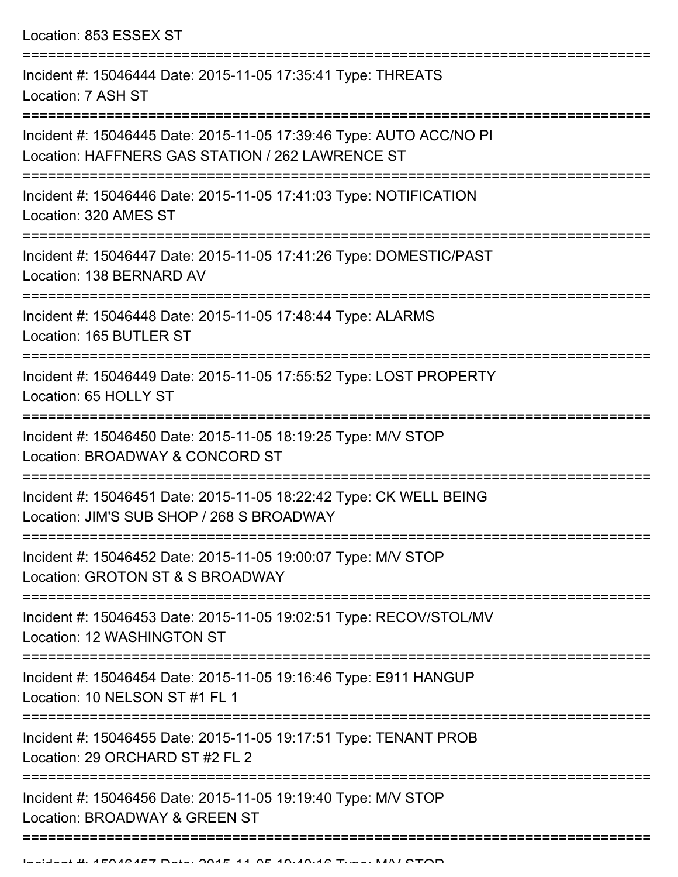Location: 853 ESSEX ST

| Incident #: 15046444 Date: 2015-11-05 17:35:41 Type: THREATS<br>Location: 7 ASH ST                                      |
|-------------------------------------------------------------------------------------------------------------------------|
| Incident #: 15046445 Date: 2015-11-05 17:39:46 Type: AUTO ACC/NO PI<br>Location: HAFFNERS GAS STATION / 262 LAWRENCE ST |
| Incident #: 15046446 Date: 2015-11-05 17:41:03 Type: NOTIFICATION<br>Location: 320 AMES ST                              |
| Incident #: 15046447 Date: 2015-11-05 17:41:26 Type: DOMESTIC/PAST<br>Location: 138 BERNARD AV                          |
| Incident #: 15046448 Date: 2015-11-05 17:48:44 Type: ALARMS<br>Location: 165 BUTLER ST                                  |
| Incident #: 15046449 Date: 2015-11-05 17:55:52 Type: LOST PROPERTY<br>Location: 65 HOLLY ST                             |
| Incident #: 15046450 Date: 2015-11-05 18:19:25 Type: M/V STOP<br>Location: BROADWAY & CONCORD ST                        |
| Incident #: 15046451 Date: 2015-11-05 18:22:42 Type: CK WELL BEING<br>Location: JIM'S SUB SHOP / 268 S BROADWAY         |
| Incident #: 15046452 Date: 2015-11-05 19:00:07 Type: M/V STOP<br>Location: GROTON ST & S BROADWAY                       |
| Incident #: 15046453 Date: 2015-11-05 19:02:51 Type: RECOV/STOL/MV<br>Location: 12 WASHINGTON ST                        |
| Incident #: 15046454 Date: 2015-11-05 19:16:46 Type: E911 HANGUP<br>Location: 10 NELSON ST #1 FL 1                      |
| Incident #: 15046455 Date: 2015-11-05 19:17:51 Type: TENANT PROB<br>Location: 29 ORCHARD ST #2 FL 2                     |
| Incident #: 15046456 Date: 2015-11-05 19:19:40 Type: M/V STOP<br>Location: BROADWAY & GREEN ST                          |
|                                                                                                                         |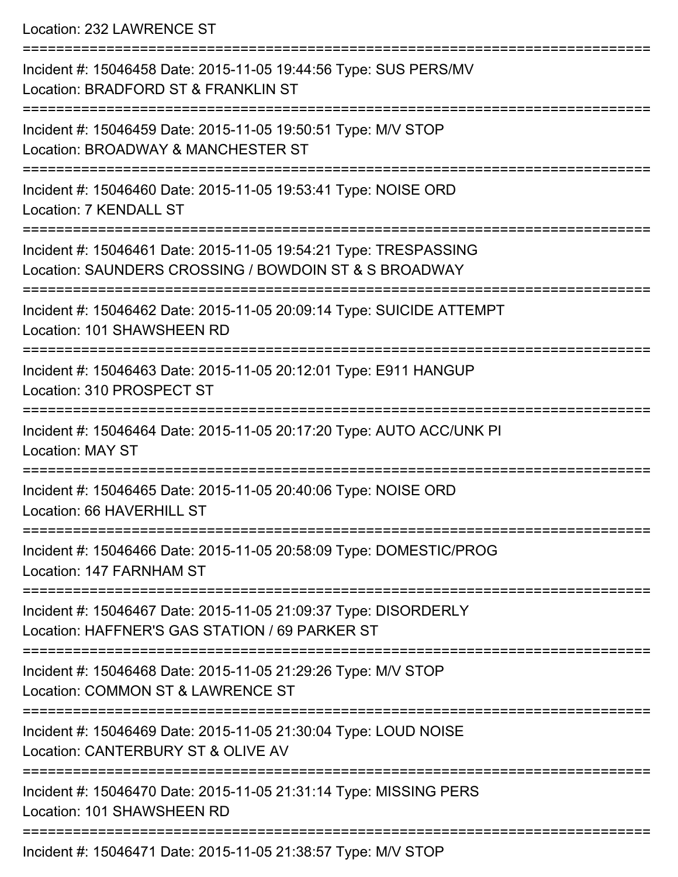Location: 232 LAWRENCE ST

| Incident #: 15046458 Date: 2015-11-05 19:44:56 Type: SUS PERS/MV<br>Location: BRADFORD ST & FRANKLIN ST                   |
|---------------------------------------------------------------------------------------------------------------------------|
| Incident #: 15046459 Date: 2015-11-05 19:50:51 Type: M/V STOP<br>Location: BROADWAY & MANCHESTER ST                       |
| Incident #: 15046460 Date: 2015-11-05 19:53:41 Type: NOISE ORD<br>Location: 7 KENDALL ST                                  |
| Incident #: 15046461 Date: 2015-11-05 19:54:21 Type: TRESPASSING<br>Location: SAUNDERS CROSSING / BOWDOIN ST & S BROADWAY |
| Incident #: 15046462 Date: 2015-11-05 20:09:14 Type: SUICIDE ATTEMPT<br>Location: 101 SHAWSHEEN RD                        |
| Incident #: 15046463 Date: 2015-11-05 20:12:01 Type: E911 HANGUP<br>Location: 310 PROSPECT ST                             |
| Incident #: 15046464 Date: 2015-11-05 20:17:20 Type: AUTO ACC/UNK PI<br><b>Location: MAY ST</b>                           |
| Incident #: 15046465 Date: 2015-11-05 20:40:06 Type: NOISE ORD<br>Location: 66 HAVERHILL ST                               |
| Incident #: 15046466 Date: 2015-11-05 20:58:09 Type: DOMESTIC/PROG<br>Location: 147 FARNHAM ST                            |
| Incident #: 15046467 Date: 2015-11-05 21:09:37 Type: DISORDERLY<br>Location: HAFFNER'S GAS STATION / 69 PARKER ST         |
| Incident #: 15046468 Date: 2015-11-05 21:29:26 Type: M/V STOP<br>Location: COMMON ST & LAWRENCE ST                        |
| Incident #: 15046469 Date: 2015-11-05 21:30:04 Type: LOUD NOISE<br>Location: CANTERBURY ST & OLIVE AV                     |
| Incident #: 15046470 Date: 2015-11-05 21:31:14 Type: MISSING PERS<br>Location: 101 SHAWSHEEN RD                           |
|                                                                                                                           |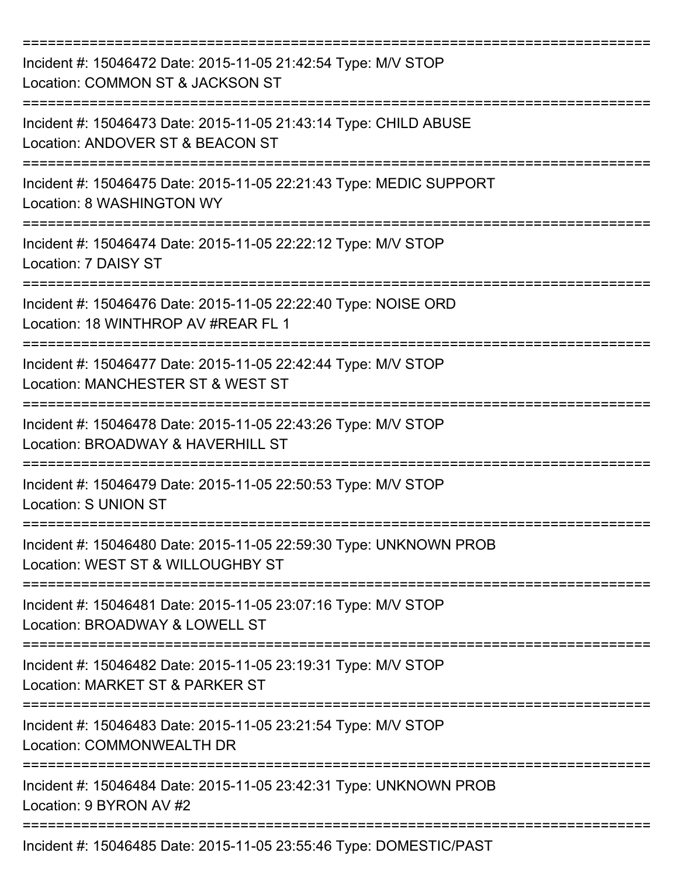| Incident #: 15046472 Date: 2015-11-05 21:42:54 Type: M/V STOP<br>Location: COMMON ST & JACKSON ST      |
|--------------------------------------------------------------------------------------------------------|
| Incident #: 15046473 Date: 2015-11-05 21:43:14 Type: CHILD ABUSE<br>Location: ANDOVER ST & BEACON ST   |
| Incident #: 15046475 Date: 2015-11-05 22:21:43 Type: MEDIC SUPPORT<br>Location: 8 WASHINGTON WY        |
| Incident #: 15046474 Date: 2015-11-05 22:22:12 Type: M/V STOP<br>Location: 7 DAISY ST                  |
| Incident #: 15046476 Date: 2015-11-05 22:22:40 Type: NOISE ORD<br>Location: 18 WINTHROP AV #REAR FL 1  |
| Incident #: 15046477 Date: 2015-11-05 22:42:44 Type: M/V STOP<br>Location: MANCHESTER ST & WEST ST     |
| Incident #: 15046478 Date: 2015-11-05 22:43:26 Type: M/V STOP<br>Location: BROADWAY & HAVERHILL ST     |
| Incident #: 15046479 Date: 2015-11-05 22:50:53 Type: M/V STOP<br><b>Location: S UNION ST</b>           |
| Incident #: 15046480 Date: 2015-11-05 22:59:30 Type: UNKNOWN PROB<br>Location: WEST ST & WILLOUGHBY ST |
| Incident #: 15046481 Date: 2015-11-05 23:07:16 Type: M/V STOP<br>Location: BROADWAY & LOWELL ST        |
| Incident #: 15046482 Date: 2015-11-05 23:19:31 Type: M/V STOP<br>Location: MARKET ST & PARKER ST       |
| Incident #: 15046483 Date: 2015-11-05 23:21:54 Type: M/V STOP<br><b>Location: COMMONWEALTH DR</b>      |
| Incident #: 15046484 Date: 2015-11-05 23:42:31 Type: UNKNOWN PROB<br>Location: 9 BYRON AV #2           |
| Incident #: 15046485 Date: 2015-11-05 23:55:46 Type: DOMESTIC/PAST                                     |